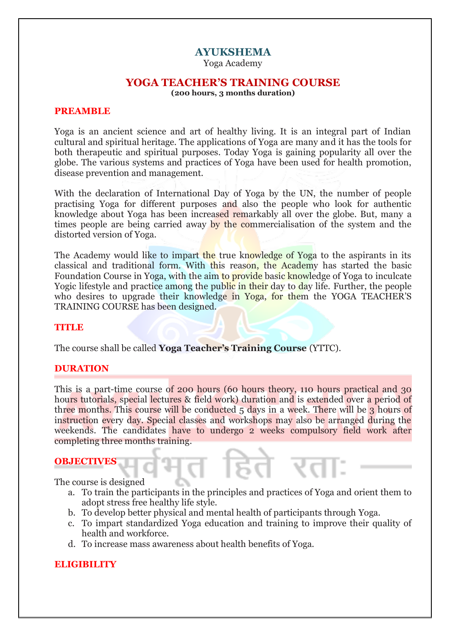# **AYUKSHEMA**

Yoga Academy

## **YOGA TEACHER'S TRAINING COURSE**

**(200 hours, 3 months duration)**

## **PREAMBLE**

Yoga is an ancient science and art of healthy living. It is an integral part of Indian cultural and spiritual heritage. The applications of Yoga are many and it has the tools for both therapeutic and spiritual purposes. Today Yoga is gaining popularity all over the globe. The various systems and practices of Yoga have been used for health promotion, disease prevention and management.

With the declaration of International Day of Yoga by the UN, the number of people practising Yoga for different purposes and also the people who look for authentic knowledge about Yoga has been increased remarkably all over the globe. But, many a times people are being carried away by the commercialisation of the system and the distorted version of Yoga.

The Academy would like to impart the true knowledge of Yoga to the aspirants in its classical and traditional form. With this reason, the Academy has started the basic Foundation Course in Yoga, with the aim to provide basic knowledge of Yoga to inculcate Yogic lifestyle and practice among the public in their day to day life. Further, the people who desires to upgrade their knowledge in Yoga, for them the YOGA TEACHER'S TRAINING COURSE has been designed.

## **TITLE**

The course shall be called **Yoga Teacher's Training Course** (YTTC).

## **DURATION**

This is a part-time course of 200 hours (60 hours theory, 110 hours practical and 30 hours tutorials, special lectures & field work) duration and is extended over a period of three months. This course will be conducted 5 days in a week. There will be 3 hours of instruction every day. Special classes and workshops may also be arranged during the weekends. The candidates have to undergo 2 weeks compulsory field work after completing three months training.

#### **OBJECTIVES**

The course is designed

a. To train the participants in the principles and practices of Yoga and orient them to adopt stress free healthy life style.

िरताः

b. To develop better physical and mental health of participants through Yoga.

भत हि

- c. To impart standardized Yoga education and training to improve their quality of health and workforce.
- d. To increase mass awareness about health benefits of Yoga.

## **ELIGIBILITY**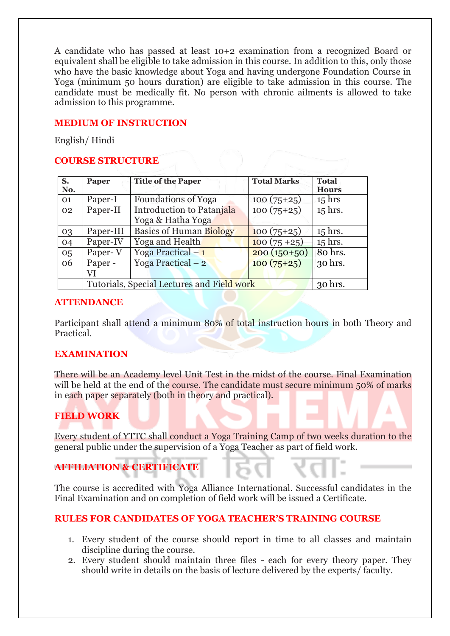A candidate who has passed at least 10+2 examination from a recognized Board or equivalent shall be eligible to take admission in this course. In addition to this, only those who have the basic knowledge about Yoga and having undergone Foundation Course in Yoga (minimum 50 hours duration) are eligible to take admission in this course. The candidate must be medically fit. No person with chronic ailments is allowed to take admission to this programme.

## **MEDIUM OF INSTRUCTION**

English/ Hindi

## **COURSE STRUCTURE**

| S.<br>No. | Paper                                      | <b>Title of the Paper</b>      | <b>Total Marks</b> | <b>Total</b><br><b>Hours</b> |
|-----------|--------------------------------------------|--------------------------------|--------------------|------------------------------|
| 01        | Paper-I                                    | <b>Foundations of Yoga</b>     | $100(75+25)$       | $15$ hrs                     |
| 02        | Paper-II                                   | Introduction to Patanjala      | $100(75+25)$       | 15 hrs.                      |
|           |                                            | Yoga & Hatha Yoga              |                    |                              |
| 03        | Paper-III                                  | <b>Basics of Human Biology</b> | $100(75+25)$       | $15$ hrs.                    |
| 04        | Paper-IV                                   | Yoga and Health                | $100(75+25)$       | $15$ hrs.                    |
| 05        | Paper-V                                    | Yoga Practical $-1$            | $200(150+50)$      | 80 hrs.                      |
| 06        | Paper -                                    | Yoga Practical $-2$            | $100(75+25)$       | 30 hrs.                      |
|           | VI                                         |                                |                    |                              |
|           | Tutorials, Special Lectures and Field work | 30 hrs.                        |                    |                              |

## **ATTENDANCE**

Participant shall attend a minimum 80% of total instruction hours in both Theory and Practical.

## **EXAMINATION**

There will be an Academy level Unit Test in the midst of the course. Final Examination will be held at the end of the course. The candidate must secure minimum 50% of marks in each paper separately (both in theory and practical).

# **FIELD WORK**

Every student of YTTC shall conduct a Yoga Training Camp of two weeks duration to the general public under the supervision of a Yoga Teacher as part of field work.

# **AFFILIATION & CERTIFICATE**

The course is accredited with Yoga Alliance International. Successful candidates in the Final Examination and on completion of field work will be issued a Certificate.

## **RULES FOR CANDIDATES OF YOGA TEACHER'S TRAINING COURSE**

- 1. Every student of the course should report in time to all classes and maintain discipline during the course.
- 2. Every student should maintain three files each for every theory paper. They should write in details on the basis of lecture delivered by the experts/ faculty.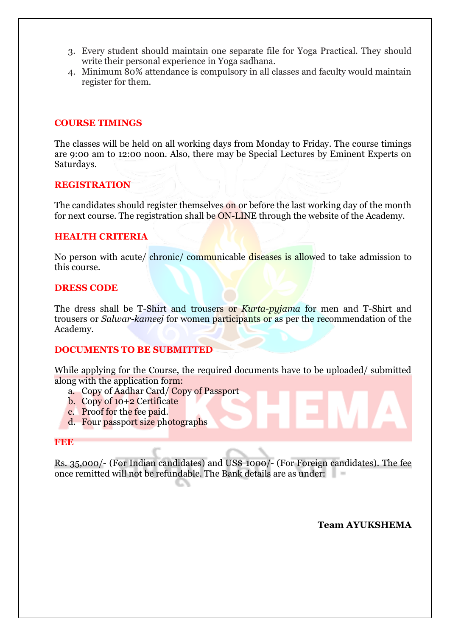- 3. Every student should maintain one separate file for Yoga Practical. They should write their personal experience in Yoga sadhana.
- 4. Minimum 80% attendance is compulsory in all classes and faculty would maintain register for them.

## **COURSE TIMINGS**

The classes will be held on all working days from Monday to Friday. The course timings are 9:00 am to 12:00 noon. Also, there may be Special Lectures by Eminent Experts on Saturdays.

## **REGISTRATION**

The candidates should register themselves on or before the last working day of the month for next course. The registration shall be ON-LINE through the website of the Academy.

## **HEALTH CRITERIA**

No person with acute/ chronic/ communicable diseases is allowed to take admission to this course.

## **DRESS CODE**

The dress shall be T-Shirt and trousers or *Kurta-pyjama* for men and T-Shirt and trousers or *Salwar-kameej* for women participants or as per the recommendation of the Academy.

## **DOCUMENTS TO BE SUBMITTED**

While applying for the Course, the required documents have to be uploaded/ submitted along with the application form:

- a. Copy of Aadhar Card/ Copy of Passport
- b. Copy of 10+2 Certificate
- c. Proof for the fee paid.
- d. Four passport size photographs

## **FEE**

Rs. 35,000/- (For Indian candidates) and US\$ 1000/- (For Foreign candidates). The fee once remitted will not be refundable. The Bank details are as under:

**Team AYUKSHEMA**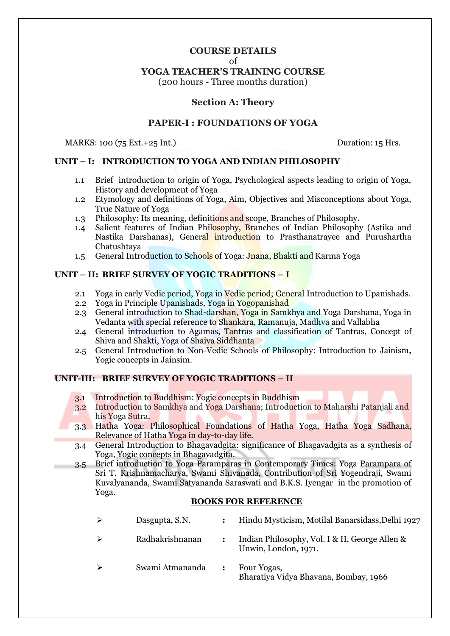## **COURSE DETAILS**

of

## **YOGA TEACHER'S TRAINING COURSE**

(200 hours - Three months duration)

## **Section A: Theory**

## **PAPER-I : FOUNDATIONS OF YOGA**

MARKS: 100 (75 Ext.+25 Int.) Duration: 15 Hrs.

## **UNIT – I: INTRODUCTION TO YOGA AND INDIAN PHILOSOPHY**

- 1.1 Brief introduction to origin of Yoga, Psychological aspects leading to origin of Yoga, History and development of Yoga
- 1.2 Etymology and definitions of Yoga, Aim, Objectives and Misconceptions about Yoga, True Nature of Yoga
- 1.3 Philosophy: Its meaning, definitions and scope, Branches of Philosophy.
- 1.4 Salient features of Indian Philosophy, Branches of Indian Philosophy (Astika and Nastika Darshanas), General introduction to Prasthanatrayee and Purushartha Chatushtaya
- 1.5 General Introduction to Schools of Yoga: Jnana, Bhakti and Karma Yoga

## **UNIT – II: BRIEF SURVEY OF YOGIC TRADITIONS – I**

- 2.1 Yoga in early Vedic period, Yoga in Vedic period; General Introduction to Upanishads.
- 2.2 Yoga in Principle Upanishads, Yoga in Yogopanishad
- 2.3 General introduction to Shad-darshan, Yoga in Samkhya and Yoga Darshana, Yoga in Vedanta with special reference to Shankara, Ramanuja, Madhva and Vallabha
- 2.4 General introduction to Agamas, Tantras and classification of Tantras, Concept of Shiva and Shakti, Yoga of Shaiva Siddhanta
- 2.5 General Introduction to Non-Vedic Schools of Philosophy: Introduction to Jainism**,** Yogic concepts in Jainsim.

#### **UNIT-III: BRIEF SURVEY OF YOGIC TRADITIONS – II**

- 3.1 Introduction to Buddhism: Yogic concepts in Buddhism
- 3.2 Introduction to Samkhya and Yoga Darshana; Introduction to Maharshi Patanjali and his Yoga Sutra.
- 3.3 Hatha Yoga: Philosophical Foundations of Hatha Yoga, Hatha Yoga Sadhana, Relevance of Hatha Yoga in day-to-day life.
- 3.4 General Introduction to Bhagavadgita: significance of Bhagavadgita as a synthesis of Yoga, Yogic concepts in Bhagavadgita.
- 3.5 Brief introduction to Yoga Paramparas in Contemporary Times: Yoga Parampara of Sri T. Krishnamacharya, Swami Shivanada, Contribution of Sri Yogendraji, Swami Kuvalyananda, Swami Satyananda Saraswati and B.K.S. Iyengar in the promotion of Yoga.

| Dasgupta, S.N.  |                | Hindu Mysticism, Motilal Banarsidass, Delhi 1927                       |
|-----------------|----------------|------------------------------------------------------------------------|
| Radhakrishnanan |                | Indian Philosophy, Vol. I & II, George Allen &<br>Unwin, London, 1971. |
| Swami Atmananda | $\ddot{\cdot}$ | Four Yogas,<br>Bharatiya Vidya Bhavana, Bombay, 1966                   |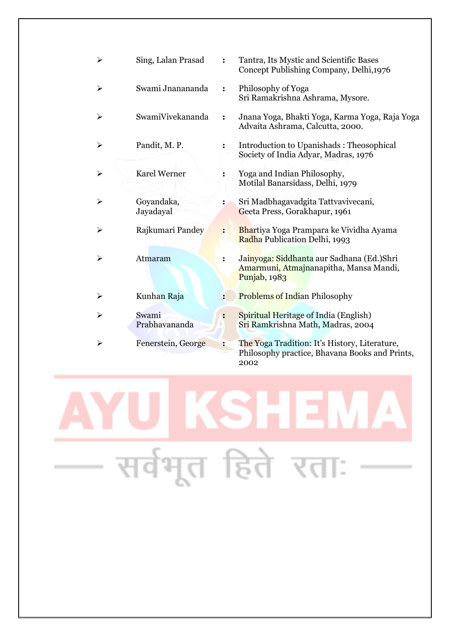| ➤ | Sing, Lalan Prasad      |                      | Tantra, Its Mystic and Scientific Bases<br>Concept Publishing Company, Delhi, 1976                          |
|---|-------------------------|----------------------|-------------------------------------------------------------------------------------------------------------|
| ⋗ | Swami Jnanananda        |                      | Philosophy of Yoga<br>Sri Ramakrishna Ashrama, Mysore.                                                      |
| ➤ | SwamiVivekananda        |                      | Jnana Yoga, Bhakti Yoga, Karma Yoga, Raja Yoga<br>Advaita Ashrama, Calcutta, 2000.                          |
| ➤ | Pandit, M.P.            |                      | Introduction to Upanishads: Theosophical<br>Society of India Adyar, Madras, 1976                            |
| ➤ | <b>Karel Werner</b>     | $\ddot{\cdot}$       | Yoga and Indian Philosophy,<br>Motilal Banarsidass, Delhi, 1979                                             |
| ⋗ | Goyandaka,<br>Jayadayal |                      | Sri Madbhagavadgita Tattvavivecani,<br>Geeta Press, Gorakhapur, 1961                                        |
| ⋗ | Rajkumari Pandey        | $\ddot{\cdot}$       | Bhartiya Yoga Prampara ke Vividha Ayama<br>Radha Publication Delhi, 1993                                    |
|   | Atmaram                 | $\ddot{\phantom{a}}$ | Jainyoga: Siddhanta aur Sadhana (Ed.)Shri<br>Amarmuni, Atmajnanapitha, Mansa Mandi,<br><b>Punjab</b> , 1983 |
| ⋗ | Kunhan Raja             |                      | <b>Problems of Indian Philosophy</b>                                                                        |
| ⋗ | Swami<br>Prabhavananda  |                      | Spiritual Heritage of India (English)<br>Sri Ramkrishna Math, Madras, 2004                                  |
| ⋗ | Fenerstein, George      | $\ddot{\cdot}$       | The Yoga Tradition: It's History, Literature,<br>Philosophy practice, Bhavana Books and Prints,<br>2002     |

**KSHEI**  $\blacktriangle$ सर्वभूत हिते रताः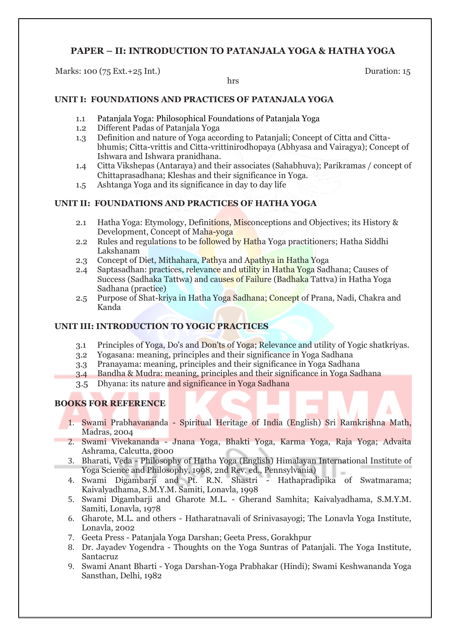# **PAPER – II: INTRODUCTION TO PATANJALA YOGA & HATHA YOGA**

Marks: 100 (75 Ext.+25 Int.) Duration: 15

#### hrs

## **UNIT I: FOUNDATIONS AND PRACTICES OF PATANJALA YOGA**

- 1.1 Patanjala Yoga: Philosophical Foundations of Patanjala Yoga
- 1.2 Different Padas of Patanjala Yoga
- 1.3 Definition and nature of Yoga according to Patanjali; Concept of Citta and Cittabhumis; Citta-vrittis and Citta-vrittinirodhopaya (Abhyasa and Vairagya); Concept of Ishwara and Ishwara pranidhana.
- 1.4 Citta Vikshepas (Antaraya) and their associates (Sahabhuva); Parikramas / concept of Chittaprasadhana; Kleshas and their significance in Yoga.
- 1.5 Ashtanga Yoga and its significance in day to day life

## **UNIT II: FOUNDATIONS AND PRACTICES OF HATHA YOGA**

- 2.1 Hatha Yoga: Etymology, Definitions, Misconceptions and Objectives; its History & Development, Concept of Maha-yoga
- 2.2 Rules and regulations to be followed by Hatha Yoga practitioners; Hatha Siddhi Lakshanam
- 2.3 Concept of Diet, Mithahara, Pathya and Apathya in Hatha Yoga
- 2.4 Saptasadhan: practices, relevance and utility in Hatha Yoga Sadhana; Causes of Success (Sadhaka Tattwa) and causes of Failure (Badhaka Tattva) in Hatha Yoga Sadhana (practice)
- 2.5 Purpose of Shat-kriya in Hatha Yoga Sadhana; Concept of Prana, Nadi, Chakra and Kanda

## **UNIT III: INTRODUCTION TO YOGIC PRACTICES**

- 3.1 Principles of Yoga, Do's and Don'ts of Yoga; Relevance and utility of Yogic shatkriyas.
- 3.2 Yogasana: meaning, principles and their significance in Yoga Sadhana
- 3.3 Pranayama: meaning, principles and their significance in Yoga Sadhana
- 3.4 Bandha & Mudra: meaning, principles and their significance in Yoga Sadhana
- 3.5 Dhyana: its nature and significance in Yoga Sadhana

- 1. Swami Prabhavananda Spiritual Heritage of India (English) Sri Ramkrishna Math, Madras, 2004
- 2. Swami Vivekananda Jnana Yoga, Bhakti Yoga, Karma Yoga, Raja Yoga; Advaita Ashrama, Calcutta, 2000
- 3. Bharati, Veda Philosophy of Hatha Yoga (English) Himalayan International Institute of Yoga Science and Philosophy, 1998, 2nd Rev. ed., Pennsylvania)
- 4. Swami Digambarji and Pt. R.N. Shastri Hathapradipika of Swatmarama; Kaivalyadhama, S.M.Y.M. Samiti, Lonavla, 1998
- 5. Swami Digambarji and Gharote M.L. Gherand Samhita; Kaivalyadhama, S.M.Y.M. Samiti, Lonavla, 1978
- 6. Gharote, M.L. and others Hatharatnavali of Srinivasayogi; The Lonavla Yoga Institute, Lonavla, 2002
- 7. Geeta Press Patanjala Yoga Darshan; Geeta Press, Gorakhpur
- 8. Dr. Jayadev Yogendra Thoughts on the Yoga Suntras of Patanjali. The Yoga Institute, Santacruz
- 9. Swami Anant Bharti Yoga Darshan-Yoga Prabhakar (Hindi); Swami Keshwananda Yoga Sansthan, Delhi, 1982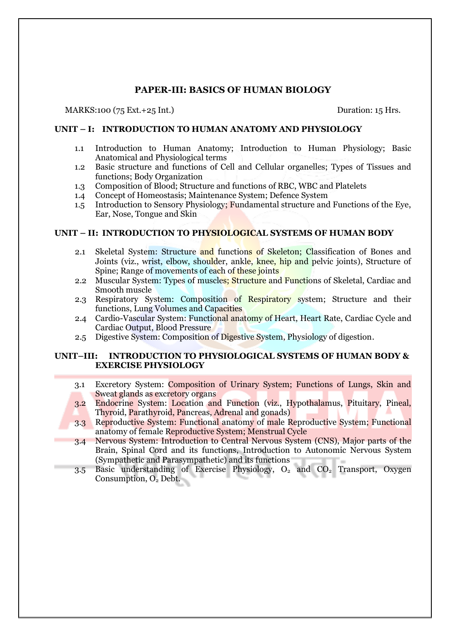## **PAPER-III: BASICS OF HUMAN BIOLOGY**

#### MARKS:100 (75 Ext.+25 Int.) Duration: 15 Hrs.

#### **UNIT – I: INTRODUCTION TO HUMAN ANATOMY AND PHYSIOLOGY**

- 1.1 Introduction to Human Anatomy; Introduction to Human Physiology; Basic Anatomical and Physiological terms
- 1.2 Basic structure and functions of Cell and Cellular organelles; Types of Tissues and functions; Body Organization
- 1.3 Composition of Blood; Structure and functions of RBC, WBC and Platelets
- 1.4 Concept of Homeostasis; Maintenance System; Defence System
- 1.5 Introduction to Sensory Physiology; Fundamental structure and Functions of the Eye, Ear, Nose, Tongue and Skin

#### **UNIT – II: INTRODUCTION TO PHYSIOLOGICAL SYSTEMS OF HUMAN BODY**

- 2.1 Skeletal System: Structure and functions of Skeleton; Classification of Bones and Joints (viz., wrist, elbow, shoulder, ankle, knee, hip and pelvic joints), Structure of Spine; Range of movements of each of these joints
- 2.2 Muscular System: Types of muscles; Structure and Functions of Skeletal, Cardiac and Smooth muscle
- 2.3 Respiratory System: Composition of Respiratory system; Structure and their functions, Lung Volumes and Capacities
- 2.4 Cardio-Vascular System: Functional anatomy of Heart, Heart Rate, Cardiac Cycle and Cardiac Output, Blood Pressure
- 2.5 Digestive System: Composition of Digestive System, Physiology of digestion.

#### **UNIT–III: INTRODUCTION TO PHYSIOLOGICAL SYSTEMS OF HUMAN BODY & EXERCISE PHYSIOLOGY**

- 3.1 Excretory System: Composition of Urinary System; Functions of Lungs, Skin and Sweat glands as excretory organs
- 3.2 Endocrine System: Location and Function (viz., Hypothalamus, Pituitary, Pineal, Thyroid, Parathyroid, Pancreas, Adrenal and gonads)
- 3.3 Reproductive System: Functional anatomy of male Reproductive System; Functional anatomy of female Reproductive System; Menstrual Cycle
- 3.4 Nervous System: Introduction to Central Nervous System (CNS), Major parts of the Brain, Spinal Cord and its functions, Introduction to Autonomic Nervous System (Sympathetic and Parasympathetic) and its functions
- $3.5$  Basic understanding of Exercise Physiology,  $O_2$  and  $CO_2$  Transport, Oxygen Consumption, O<sub>2</sub> Debt.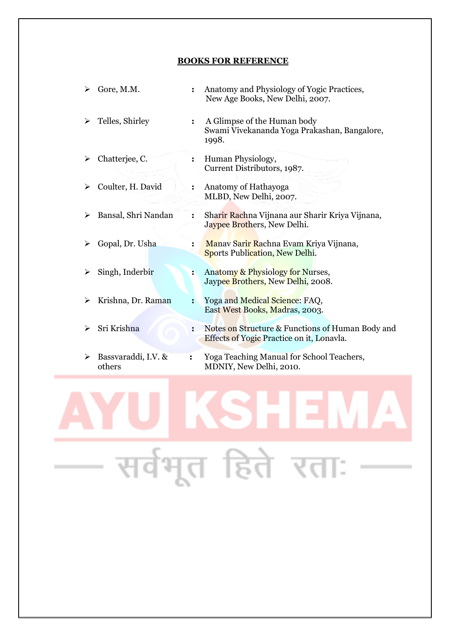#### **BOOKS FOR REFERENCE**

| ➤ | Gore, M.M.                    |                      | Anatomy and Physiology of Yogic Practices,<br>New Age Books, New Delhi, 2007.                        |
|---|-------------------------------|----------------------|------------------------------------------------------------------------------------------------------|
| ➤ | Telles, Shirley               | $\ddot{\cdot}$       | A Glimpse of the Human body<br>Swami Vivekananda Yoga Prakashan, Bangalore,<br>1998.                 |
| ➤ | Chatterjee, C.                | $\ddot{\phantom{a}}$ | Human Physiology,<br>Current Distributors, 1987.                                                     |
| ➤ | Coulter, H. David             | $\ddot{\cdot}$       | Anatomy of Hathayoga<br>MLBD, New Delhi, 2007.                                                       |
| ➤ | Bansal, Shri Nandan           | $\ddot{\phantom{a}}$ | Sharir Rachna Vijnana aur Sharir Kriya Vijnana,<br>Jaypee Brothers, New Delhi.                       |
|   | Gopal, Dr. Usha               | $\ddot{\cdot}$       | Manav Sarir Rachna Evam Kriya Vijnana,<br><b>Sports Publication, New Delhi.</b>                      |
|   | Singh, Inderbir               | $\ddot{\cdot}$       | Anatomy & Physiology for Nurses,<br>Jaypee Brothers, New Delhi, 2008.                                |
| ➤ | Krishna, Dr. Raman            | $\ddot{\cdot}$       | Yoga and Medical Science: FAQ,<br>East West Books, Madras, 2003.                                     |
|   | Sri Krishna                   | $\ddot{\cdot}$       | Notes on Structure & Functions of Human Body and<br><b>Effects of Yogic Practice on it, Lonavla.</b> |
| ➤ | Bassvaraddi, I.V. &<br>others | ፡                    | Yoga Teaching Manual for School Teachers,<br>MDNIY, New Delhi, 2010.                                 |

# SHEI  $\pmb{\Lambda}$ सर्वभूत हिते रताः  $\sim$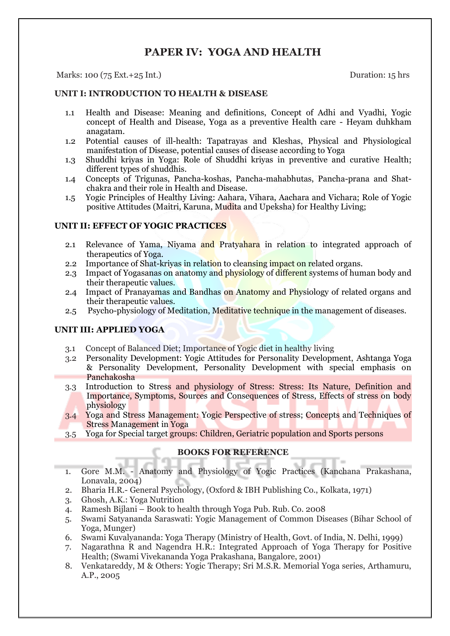# **PAPER IV: YOGA AND HEALTH**

#### Marks: 100 (75 Ext.+25 Int.) Duration: 15 hrs

#### **UNIT I: INTRODUCTION TO HEALTH & DISEASE**

- 1.1 Health and Disease: Meaning and definitions, Concept of Adhi and Vyadhi, Yogic concept of Health and Disease, Yoga as a preventive Health care - Heyam duhkham anagatam.
- 1.2 Potential causes of ill-health: Tapatrayas and Kleshas, Physical and Physiological manifestation of Disease, potential causes of disease according to Yoga
- 1.3 Shuddhi kriyas in Yoga: Role of Shuddhi kriyas in preventive and curative Health; different types of shuddhis.
- 1.4 Concepts of Trigunas, Pancha-koshas, Pancha-mahabhutas, Pancha-prana and Shatchakra and their role in Health and Disease.
- 1.5 Yogic Principles of Healthy Living: Aahara, Vihara, Aachara and Vichara; Role of Yogic positive Attitudes (Maitri, Karuna, Mudita and Upeksha) for Healthy Living;

#### **UNIT II: EFFECT OF YOGIC PRACTICES**

- 2.1 Relevance of Yama, Niyama and Pratyahara in relation to integrated approach of therapeutics of Yoga.
- 2.2 Importance of Shat-kriyas in relation to cleansing impact on related organs.
- 2.3 Impact of Yogasanas on anatomy and physiology of different systems of human body and their therapeutic values.
- 2.4 Impact of Pranayamas and Bandhas on Anatomy and Physiology of related organs and their therapeutic values.
- 2.5 Psycho-physiology of Meditation, Meditative technique in the management of diseases.

## **UNIT III: APPLIED YOGA**

- 3.1 Concept of Balanced Diet; Importance of Yogic diet in healthy living
- 3.2Personality Development: Yogic Attitudes for Personality Development, Ashtanga Yoga & Personality Development, Personality Development with special emphasis on Panchakosha
- 3.3 Introduction to Stress and physiology of Stress: Stress: Its Nature, Definition and Importance, Symptoms, Sources and Consequences of Stress, Effects of stress on body physiology
- 3.4 Yoga and Stress Management: Yogic Perspective of stress; Concepts and Techniques of Stress Management in Yoga
- 3.5 Yoga for Special target groups: Children, Geriatric population and Sports persons

- 1. Gore M.M. Anatomy and Physiology of Yogic Practices (Kanchana Prakashana, Lonavala, 2004)
- 2. Bharia H.R.- General Psychology, (Oxford & IBH Publishing Co., Kolkata, 1971)
- 3. Ghosh, A.K.: Yoga Nutrition
- 4. Ramesh Bijlani Book to health through Yoga Pub. Rub. Co. 2008
- 5. Swami Satyananda Saraswati: Yogic Management of Common Diseases (Bihar School of Yoga, Munger)
- 6. Swami Kuvalyananda: Yoga Therapy (Ministry of Health, Govt. of India, N. Delhi, 1999)
- 7. Nagarathna R and Nagendra H.R.: Integrated Approach of Yoga Therapy for Positive Health; (Swami Vivekananda Yoga Prakashana, Bangalore, 2001)
- 8. Venkatareddy, M & Others: Yogic Therapy; Sri M.S.R. Memorial Yoga series, Arthamuru, A.P., 2005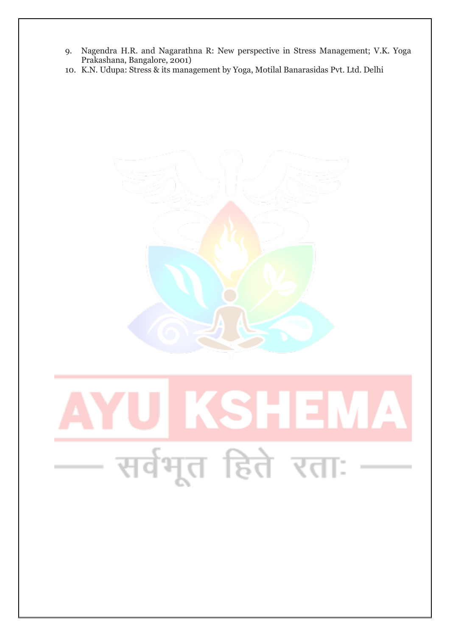- 9. Nagendra H.R. and Nagarathna R: New perspective in Stress Management; V.K. Yoga Prakashana, Bangalore, 2001)
- 10. K.N. Udupa: Stress & its management by Yoga, Motilal Banarasidas Pvt. Ltd. Delhi

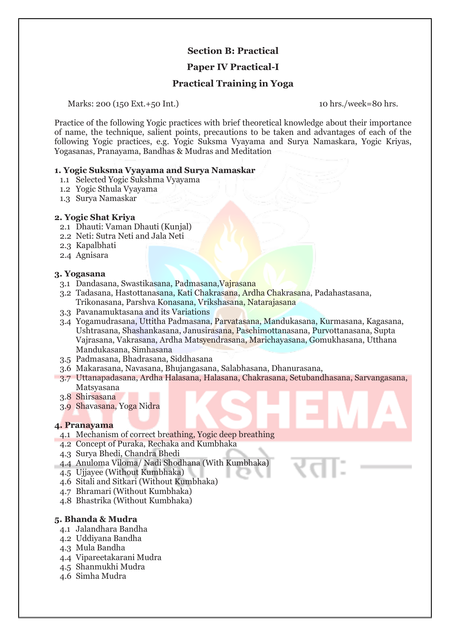## **Section B: Practical**

## **Paper IV Practical-I**

## **Practical Training in Yoga**

Marks: 200 (150 Ext.+50 Int.) 10 hrs./week=80 hrs.

Practice of the following Yogic practices with brief theoretical knowledge about their importance of name, the technique, salient points, precautions to be taken and advantages of each of the following Yogic practices, e.g. Yogic Suksma Vyayama and Surya Namaskara, Yogic Kriyas, Yogasanas, Pranayama, Bandhas & Mudras and Meditation

#### **1. Yogic Suksma Vyayama and Surya Namaskar**

- 1.1 Selected Yogic Sukshma Vyayama
- 1.2 Yogic Sthula Vyayama
- 1.3 Surya Namaskar

#### **2. Yogic Shat Kriya**

- 2.1 Dhauti: Vaman Dhauti (Kunjal)
- 2.2 Neti: Sutra Neti and Jala Neti
- 2.3 Kapalbhati
- 2.4 Agnisara

#### **3. Yogasana**

- 3.1 Dandasana, Swastikasana, Padmasana,Vajrasana
- 3.2 Tadasana, Hastottanasana, Kati Chakrasana, Ardha Chakrasana, Padahastasana, Trikonasana, Parshva Konasana, Vrikshasana, Natarajasana
- 3.3 Pavanamuktasana and its Variations
- 3.4 Yogamudrasana, Uttitha Padmasana, Parvatasana, Mandukasana, Kurmasana, Kagasana, Ushtrasana, Shashankasana, Janusirasana, Paschimottanasana, Purvottanasana, Supta Vajrasana, Vakrasana, Ardha Matsyendrasana, Marichayasana, Gomukhasana, Utthana Mandukasana, Simhasana
- 3.5 Padmasana, Bhadrasana, Siddhasana
- 3.6 Makarasana, Navasana, Bhujangasana, Salabhasana, Dhanurasana,
- 3.7 Uttanapadasana, Ardha Halasana, Halasana, Chakrasana, Setubandhasana, Sarvangasana, Matsyasana
- 3.8 Shirsasana
- 3.9 Shavasana, Yoga Nidra

#### **4. Pranayama**

- 4.1 Mechanism of correct breathing, Yogic deep breathing
- 4.2 Concept of Puraka, Rechaka and Kumbhaka
- 4.3 Surya Bhedi, Chandra Bhedi
- 4.4 Anuloma Viloma/ Nadi Shodhana (With Kumbhaka)
- 4.5 Ujjayee (Without Kumbhaka)
- 4.6 Sitali and Sitkari (Without Kumbhaka)
- 4.7 Bhramari (Without Kumbhaka)
- 4.8 Bhastrika (Without Kumbhaka)

#### **5. Bhanda & Mudra**

- 4.1 Jalandhara Bandha
- 4.2 Uddiyana Bandha
- 4.3 Mula Bandha
- 4.4 Vipareetakarani Mudra
- 4.5 Shanmukhi Mudra
- 4.6 Simha Mudra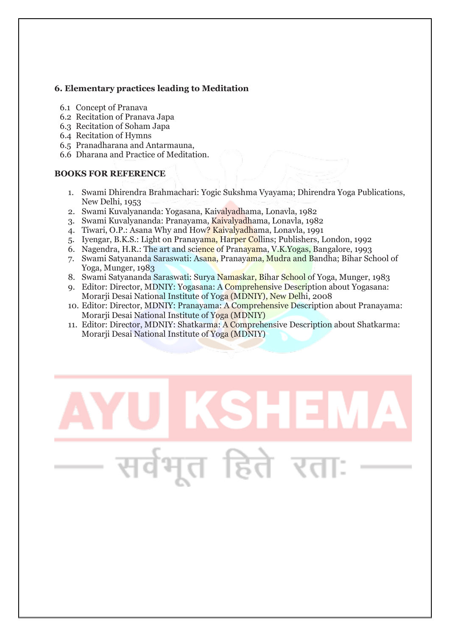## **6. Elementary practices leading to Meditation**

- 6.1 Concept of Pranava
- 6.2 Recitation of Pranava Japa
- 6.3 Recitation of Soham Japa
- 6.4 Recitation of Hymns
- 6.5 Pranadharana and Antarmauna,
- 6.6 Dharana and Practice of Meditation.

- 1. Swami Dhirendra Brahmachari: Yogic Sukshma Vyayama; Dhirendra Yoga Publications, New Delhi, 1953
- 2. Swami Kuvalyananda: Yogasana, Kaivalyadhama, Lonavla, 1982
- 3. Swami Kuvalyananda: Pranayama, Kaivalyadhama, Lonavla, 1982
- 4. Tiwari, O.P.: Asana Why and How? Kaivalyadhama, Lonavla, 1991
- 5. Iyengar, B.K.S.: Light on Pranayama, Harper Collins; Publishers, London, 1992
- 6. Nagendra, H.R.: The art and science of Pranayama, V.K.Yogas, Bangalore, 1993
- 7. Swami Satyananda Saraswati: Asana, Pranayama, Mudra and Bandha; Bihar School of Yoga, Munger, 1983
- 8. Swami Satyananda Saraswati: Surya Namaskar, Bihar School of Yoga, Munger, 1983
- 9. Editor: Director, MDNIY: Yogasana: A Comprehensive Description about Yogasana: Morarii Desai National Institute of Yoga (MDNIY), New Delhi, 2008
- 10. Editor: Director, MDNIY: Pranayama: A Comprehensive Description about Pranayama: Morarji Desai National Institute of Yoga (MDNIY)
- 11. Editor: Director, MDNIY: Shatkarma: A Comprehensive Description about Shatkarma: Morarji Desai National Institute of Yoga (MDNIY)